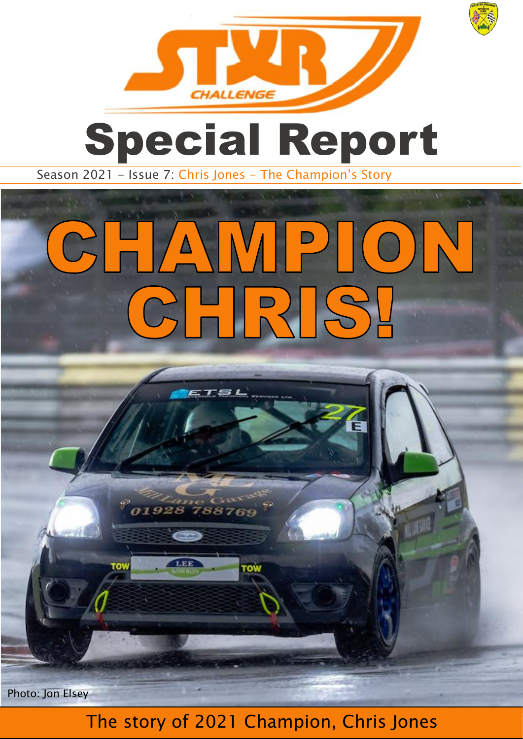

## Special Report

Season 2021 - Issue 7: Chris Jones - The Champion's Story

 $5TSL$ 

01928 788769

 $\circledcirc$ 

LEE

row

## CHAMPION CHRIS!

Photo: Jon Elsey

## The story of 2021 Champion, Chris Jones

zaŭ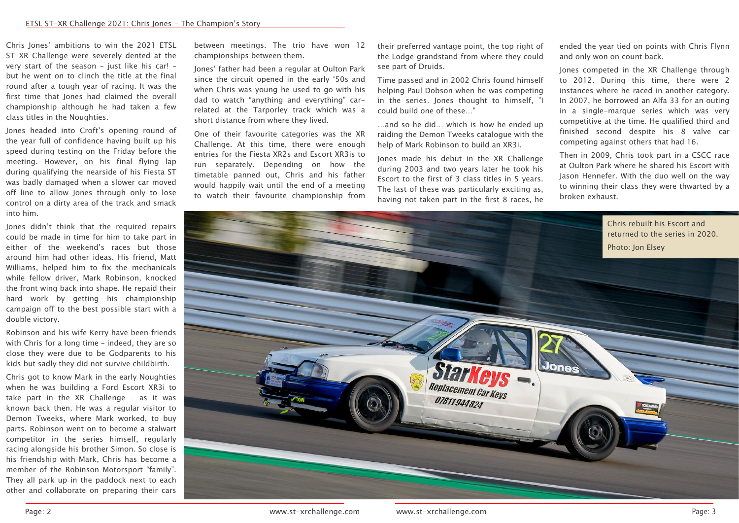Chris Jones' ambitions to win the 2021 ETSL ST-XR Challenge were severely dented at the very start of the season – just like his car! – but he went on to clinch the title at the final round after a tough year of racing. It was the first time that Jones had claimed the overall championship although he had taken a few class titles in the Noughties.

Jones headed into Croft's opening round of the year full of confidence having built up his speed during testing on the Friday before the meeting. However, on his final flying lap during qualifying the nearside of his Fiesta ST was badly damaged when a slower car moved off-line to allow Jones through only to lose control on a dirty area of the track and smack into him.

Jones didn't think that the required repairs could be made in time for him to take part in either of the weekend's races but those around him had other ideas. His friend, Matt Williams, helped him to fix the mechanicals while fellow driver, Mark Robinson, knocked the front wing back into shape. He repaid their hard work by getting his championship campaign off to the best possible start with a double victory.

Robinson and his wife Kerry have been friends with Chris for a long time – indeed, they are so close they were due to be Godparents to his kids but sadly they did not survive childbirth.

Chris got to know Mark in the early Noughties when he was building a Ford Escort XR3i to take part in the XR Challenge – as it was known back then. He was a regular visitor to Demon Tweeks, where Mark worked, to buy parts. Robinson went on to become a stalwart competitor in the series himself, regularly racing alongside his brother Simon. So close is his friendship with Mark, Chris has become a member of the Robinson Motorsport "family". They all park up in the paddock next to each other and collaborate on preparing their cars between meetings. The trio have won 12 championships between them.

Jones' father had been a regular at Oulton Park since the circuit opened in the early '50s and when Chris was young he used to go with his dad to watch "anything and everything" carrelated at the Tarporley track which was a short distance from where they lived.

One of their favourite categories was the XR Challenge. At this time, there were enough entries for the Fiesta XR2s and Escort XR3is to run separately. Depending on how the timetable panned out, Chris and his father would happily wait until the end of a meeting to watch their favourite championship from

their preferred vantage point, the top right of the Lodge grandstand from where they could see part of Druids.

Time passed and in 2002 Chris found himself helping Paul Dobson when he was competing in the series. Jones thought to himself, "I could build one of these…"

…and so he did… which is how he ended up raiding the Demon Tweeks catalogue with the help of Mark Robinson to build an XR3i.

Jones made his debut in the XR Challenge during 2003 and two years later he took his Escort to the first of 3 class titles in 5 years. The last of these was particularly exciting as, having not taken part in the first 8 races, he ended the year tied on points with Chris Flynn and only won on count back.

Jones competed in the XR Challenge through to 2012. During this time, there were 2 instances where he raced in another category. In 2007, he borrowed an Alfa 33 for an outing in a single-marque series which was very competitive at the time. He qualified third and finished second despite his 8 valve car competing against others that had 16.

Then in 2009, Chris took part in a CSCC race at Oulton Park where he shared his Escort with Jason Hennefer. With the duo well on the way to winning their class they were thwarted by a broken exhaust.